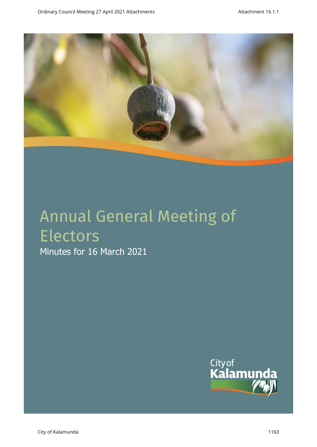

# Annual General Meeting of Electors Minutes for 16 March 2021

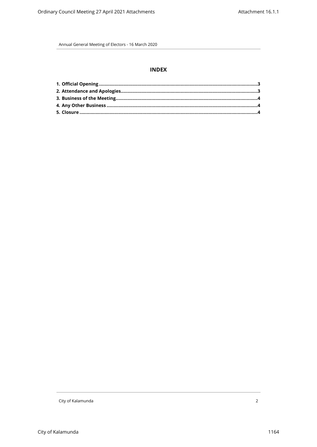# **INDEX**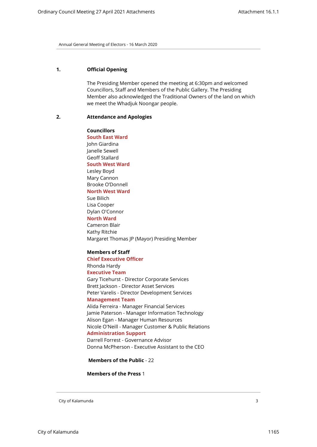#### <span id="page-2-0"></span>**1. Official Opening**

The Presiding Member opened the meeting at 6:30pm and welcomed Councillors, Staff and Members of the Public Gallery. The Presiding Member also acknowledged the Traditional Owners of the land on which we meet the Whadjuk Noongar people.

#### <span id="page-2-1"></span>**2. Attendance and Apologies**

**Councillors South East Ward**  John Giardina Janelle Sewell Geoff Stallard **South West Ward** Lesley Boyd Mary Cannon Brooke O'Donnell **North West Ward** Sue Bilich Lisa Cooper Dylan O'Connor **North Ward** Cameron Blair Kathy Ritchie Margaret Thomas JP (Mayor) Presiding Member

#### **Members of Staff**

**Chief Executive Officer** Rhonda Hardy **Executive Team**

Gary Ticehurst - Director Corporate Services Brett Jackson - Director Asset Services Peter Varelis - Director Development Services

**Management Team**

Alida Ferreira - Manager Financial Services Jamie Paterson - Manager Information Technology Alison Egan - Manager Human Resources Nicole O'Neill - Manager Customer & Public Relations **Administration Support**

Darrell Forrest - Governance Advisor Donna McPherson - Executive Assistant to the CEO

 **Members of the Public** - 22

**Members of the Press** 1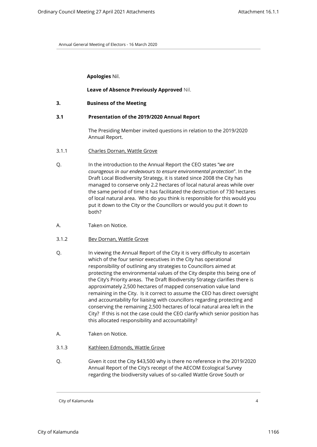**Apologies** Nil.

#### **Leave of Absence Previously Approved** Nil.

<span id="page-3-0"></span>**3. Business of the Meeting**

#### **3.1 Presentation of the 2019/2020 Annual Report**

The Presiding Member invited questions in relation to the 2019/2020 Annual Report.

- 3.1.1 Charles Dornan, Wattle Grove
- Q. In the introduction to the Annual Report the CEO states "*we are courageous in our endeavours to ensure environmental protection*". In the Draft Local Biodiversity Strategy, it is stated since 2008 the City has managed to conserve only 2.2 hectares of local natural areas while over the same period of time it has facilitated the destruction of 730 hectares of local natural area. Who do you think is responsible for this would you put it down to the City or the Councillors or would you put it down to both?
- A. Taken on Notice.
- 3.1.2 Bev Dornan, Wattle Grove
- Q. In viewing the Annual Report of the City it is very difficulty to ascertain which of the four senior executives in the City has operational responsibility of outlining any strategies to Councillors aimed at protecting the environmental values of the City despite this being one of the City's Priority areas. The Draft Biodiversity Strategy clarifies there is approximately 2,500 hectares of mapped conservation value land remaining in the City. Is it correct to assume the CEO has direct oversight and accountability for liaising with councillors regarding protecting and conserving the remaining 2,500 hectares of local natural area left in the City? If this is not the case could the CEO clarify which senior position has this allocated responsibility and accountability?
- A. Taken on Notice.
- 3.1.3 Kathleen Edmonds, Wattle Grove
- Q. Given it cost the City \$43,500 why is there no reference in the 2019/2020 Annual Report of the City's receipt of the AECOM Ecological Survey regarding the biodiversity values of so-called Wattle Grove South or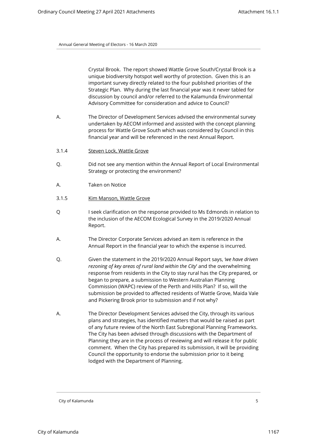Crystal Brook. The report showed Wattle Grove South/Crystal Brook is a unique biodiversity hotspot well worthy of protection. Given this is an important survey directly related to the four published priorities of the Strategic Plan. Why during the last financial year was it never tabled for discussion by council and/or referred to the Kalamunda Environmental Advisory Committee for consideration and advice to Council?

- A. The Director of Development Services advised the environmental survey undertaken by AECOM informed and assisted with the concept planning process for Wattle Grove South which was considered by Council in this financial year and will be referenced in the next Annual Report.
- 3.1.4 Steven Lock, Wattle Grove
- Q. Did not see any mention within the Annual Report of Local Environmental Strategy or protecting the environment?
- A. Taken on Notice
- 3.1.5 Kim Manson, Wattle Grove
- Q I seek clarification on the response provided to Ms Edmonds in relation to the inclusion of the AECOM Ecological Survey in the 2019/2020 Annual Report.
- A. The Director Corporate Services advised an item is reference in the Annual Report in the financial year to which the expense is incurred.
- Q. Given the statement in the 2019/2020 Annual Report says, *'we have driven rezoning of key areas of rural land within the City*' and the overwhelming response from residents in the City to stay rural has the City prepared, or began to prepare, a submission to Western Australian Planning Commission (WAPC) review of the Perth and Hills Plan? If so, will the submission be provided to affected residents of Wattle Grove, Maida Vale and Pickering Brook prior to submission and if not why?
- A. The Director Development Services advised the City, through its various plans and strategies, has identified matters that would be raised as part of any future review of the North East Subregional Planning Frameworks. The City has been advised through discussions with the Department of Planning they are in the process of reviewing and will release it for public comment. When the City has prepared its submission, it will be providing Council the opportunity to endorse the submission prior to it being lodged with the Department of Planning.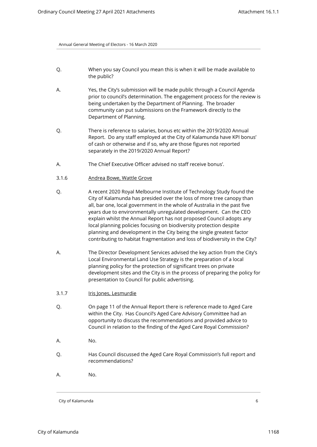- Q. When you say Council you mean this is when it will be made available to the public?
- A. Yes, the City's submission will be made public through a Council Agenda prior to council's determination. The engagement process for the review is being undertaken by the Department of Planning. The broader community can put submissions on the Framework directly to the Department of Planning.
- Q. There is reference to salaries, bonus etc within the 2019/2020 Annual Report. Do any staff employed at the City of Kalamunda have KPI bonus' of cash or otherwise and if so, why are those figures not reported separately in the 2019/2020 Annual Report?
- A. The Chief Executive Officer advised no staff receive bonus'.
- 3.1.6 Andrea Bowe, Wattle Grove
- Q. A recent 2020 Royal Melbourne Institute of Technology Study found the City of Kalamunda has presided over the loss of more tree canopy than all, bar one, local government in the whole of Australia in the past five years due to environmentally unregulated development. Can the CEO explain whilst the Annual Report has not proposed Council adopts any local planning policies focusing on biodiversity protection despite planning and development in the City being the single greatest factor contributing to habitat fragmentation and loss of biodiversity in the City?
- A. The Director Development Services advised the key action from the City's Local Environmental Land Use Strategy is the preparation of a local planning policy for the protection of significant trees on private development sites and the City is in the process of preparing the policy for presentation to Council for public advertising.
- 3.1.7 Iris Jones, Lesmurdie
- Q. On page 11 of the Annual Report there is reference made to Aged Care within the City. Has Council's Aged Care Advisory Committee had an opportunity to discuss the recommendations and provided advice to Council in relation to the finding of the Aged Care Royal Commission?
- A. No.
- Q. Has Council discussed the Aged Care Royal Commission's full report and recommendations?
- A. No.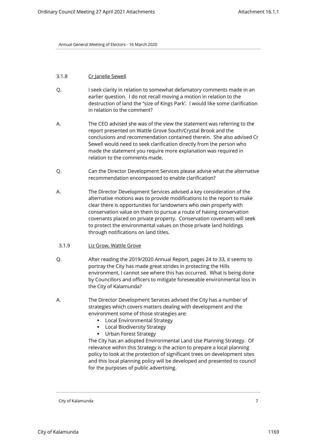#### 3.1.8 Cr Janelle Sewell

- Q. I seek clarity in relation to somewhat defamatory comments made in an earlier question. I do not recall moving a motion in relation to the destruction of land the "size of Kings Park'. I would like some clarification in relation to the comment?
- A. The CEO advised she was of the view the statement was referring to the report presented on Wattle Grove South/Crystal Brook and the conclusions and recommendation contained therein. She also advised Cr Sewell would need to seek clarification directly from the person who made the statement you require more explanation was required in relation to the comments made.
- Q. Can the Director Development Services please advise what the alternative recommendation encompassed to enable clarification?
- A. The Director Development Services advised a key consideration of the alternative motions was to provide modifications to the report to make clear there is opportunities for landowners who own property with conservation value on them to pursue a route of having conservation covenants placed on private property. Conservation covenants will seek to protect the environmental values on those private land holdings through notifications on land titles.
- 3.1.9 Liz Grow, Wattle Grove
- Q. After reading the 2019/2020 Annual Report, pages 24 to 33, it seems to portray the City has made great strides in protecting the Hills environment, I cannot see where this has occurred. What is being done by Councillors and officers to mitigate foreseeable environmental loss in the City of Kalamunda?
- A. The Director Development Services advised the City has a number of strategies which covers matters dealing with development and the environment some of those strategies are:
	- **-** Local Environmental Strategy
	- **Local Biodiversity Strategy**
	- **Urban Forest Strategy**

The City has an adopted Environmental Land Use Planning Strategy. Of relevance within this Strategy is the action to prepare a local planning policy to look at the protection of significant trees on development sites and this local planning policy will be developed and presented to council for the purposes of public advertising.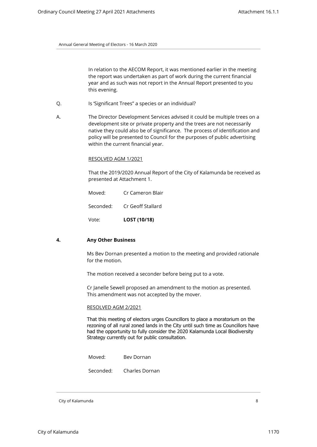In relation to the AECOM Report, it was mentioned earlier in the meeting the report was undertaken as part of work during the current financial year and as such was not report in the Annual Report presented to you this evening.

- Q. Is 'Significant Trees" a species or an individual?
- A. The Director Development Services advised it could be multiple trees on a development site or private property and the trees are not necessarily native they could also be of significance. The process of identification and policy will be presented to Council for the purposes of public advertising within the current financial year.

#### RESOLVED AGM 1/2021

That the 2019/2020 Annual Report of the City of Kalamunda be received as presented at Attachment 1.

Moved: Cr Cameron Blair

Seconded: Cr Geoff Stallard

Vote: **LOST (10/18)**

#### <span id="page-7-0"></span>**4. Any Other Business**

Ms Bev Dornan presented a motion to the meeting and provided rationale for the motion.

The motion received a seconder before being put to a vote.

Cr Janelle Sewell proposed an amendment to the motion as presented. This amendment was not accepted by the mover.

#### RESOLVED AGM 2/2021

That this meeting of electors urges Councillors to place a moratorium on the rezoning of all rural zoned lands in the City until such time as Councillors have had the opportunity to fully consider the 2020 Kalamunda Local Biodiversity Strategy currently out for public consultation.

Moved: Bev Dornan

Seconded: Charles Dornan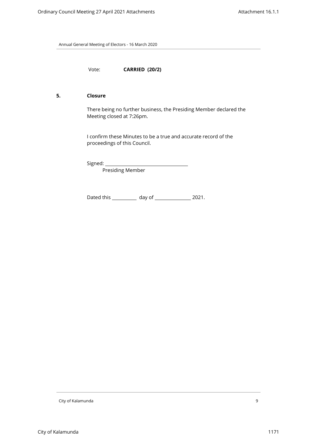Vote: **CARRIED (20/2)**

#### <span id="page-8-0"></span>**5. Closure**

There being no further business, the Presiding Member declared the Meeting closed at 7:26pm.

I confirm these Minutes to be a true and accurate record of the proceedings of this Council.

Signed: \_\_\_\_\_\_\_\_\_

Presiding Member

Dated this \_\_\_\_\_\_\_\_\_\_\_\_ day of \_\_\_\_\_\_\_\_\_\_\_\_\_\_\_\_\_\_\_ 2021.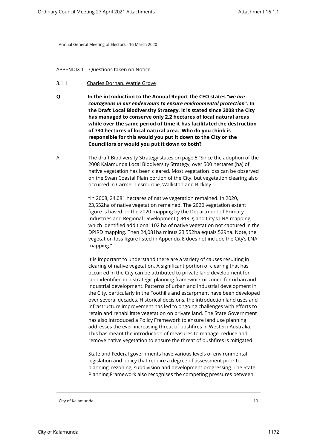#### APPENDIX 1 – Questions taken on Notice

- 3.1.1 Charles Dornan, Wattle Grove
- **Q. In the introduction to the Annual Report the CEO states "***we are courageous in our endeavours to ensure environmental protection***". In the Draft Local Biodiversity Strategy, it is stated since 2008 the City has managed to conserve only 2.2 hectares of local natural areas while over the same period of time it has facilitated the destruction of 730 hectares of local natural area. Who do you think is responsible for this would you put it down to the City or the Councillors or would you put it down to both?**
- A The draft Biodiversity Strategy states on page 5 "Since the adoption of the 2008 Kalamunda Local Biodiversity Strategy, over 500 hectares (ha) of native vegetation has been cleared. Most vegetation loss can be observed on the Swan Coastal Plain portion of the City, but vegetation clearing also occurred in Carmel, Lesmurdie, Walliston and Bickley.

"In 2008, 24,081 hectares of native vegetation remained. In 2020, 23,552ha of native vegetation remained. The 2020 vegetation extent figure is based on the 2020 mapping by the Department of Primary Industries and Regional Development (DPIRD) and City's LNA mapping, which identified additional 102 ha of native vegetation not captured in the DPIRD mapping. Then 24,081ha minus 23,552ha equals 529ha. Note, the vegetation loss figure listed in Appendix E does not include the City's LNA mapping."

It is important to understand there are a variety of causes resulting in clearing of native vegetation. A significant portion of clearing that has occurred in the City can be attributed to private land development for land identified in a strategic planning framework or zoned for urban and industrial development. Patterns of urban and industrial development in the City, particularly in the Foothills and escarpment have been developed over several decades. Historical decisions, the introduction land uses and infrastructure improvement has led to ongoing challenges with efforts to retain and rehabilitate vegetation on private land. The State Government has also introduced a Policy Framework to ensure land use planning addresses the ever-increasing threat of bushfires in Western Australia. This has meant the introduction of measures to manage, reduce and remove native vegetation to ensure the threat of bushfires is mitigated.

State and Federal governments have various levels of environmental legislation and policy that require a degree of assessment prior to planning, rezoning, subdivision and development progressing. The State Planning Framework also recognises the competing pressures between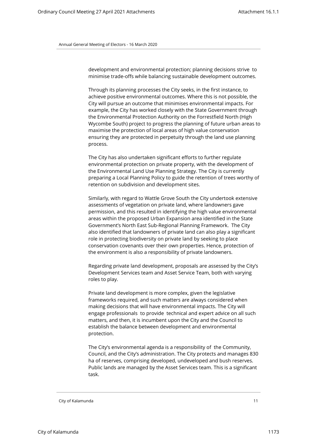development and environmental protection; planning decisions strive to minimise trade-offs while balancing sustainable development outcomes.

Through its planning processes the City seeks, in the first instance, to achieve positive environmental outcomes. Where this is not possible, the City will pursue an outcome that minimises environmental impacts. For example, the City has worked closely with the State Government through the Environmental Protection Authority on the Forrestfield North (High Wycombe South) project to progress the planning of future urban areas to maximise the protection of local areas of high value conservation ensuring they are protected in perpetuity through the land use planning process.

The City has also undertaken significant efforts to further regulate environmental protection on private property, with the development of the Environmental Land Use Planning Strategy. The City is currently preparing a Local Planning Policy to guide the retention of trees worthy of retention on subdivision and development sites.

Similarly, with regard to Wattle Grove South the City undertook extensive assessments of vegetation on private land, where landowners gave permission, and this resulted in identifying the high value environmental areas within the proposed Urban Expansion area identified in the State Government's North East Sub-Regional Planning Framework. The City also identified that landowners of private land can also play a significant role in protecting biodiversity on private land by seeking to place conservation covenants over their own properties. Hence, protection of the environment is also a responsibility of private landowners.

Regarding private land development, proposals are assessed by the City's Development Services team and Asset Service Team, both with varying roles to play.

Private land development is more complex, given the legislative frameworks required, and such matters are always considered when making decisions that will have environmental impacts. The City will engage professionals to provide technical and expert advice on all such matters, and then, it is incumbent upon the City and the Council to establish the balance between development and environmental protection.

The City's environmental agenda is a responsibility of the Community, Council, and the City's administration. The City protects and manages 830 ha of reserves, comprising developed, undeveloped and bush reserves. Public lands are managed by the Asset Services team. This is a significant task.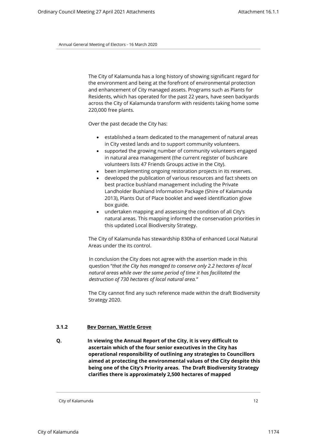The City of Kalamunda has a long history of showing significant regard for the environment and being at the forefront of environmental protection and enhancement of City managed assets. Programs such as Plants for Residents, which has operated for the past 22 years, have seen backyards across the City of Kalamunda transform with residents taking home some 220,000 free plants.

Over the past decade the City has:

- established a team dedicated to the management of natural areas in City vested lands and to support community volunteers.
- supported the growing number of community volunteers engaged in natural area management (the current register of bushcare volunteers lists 47 Friends Groups active in the City).
- been implementing ongoing restoration projects in its reserves.
- developed the publication of various resources and fact sheets on best practice bushland management including the Private Landholder Bushland Information Package (Shire of Kalamunda 2013), Plants Out of Place booklet and weed identification glove box guide.
- undertaken mapping and assessing the condition of all City's natural areas. This mapping informed the conservation priorities in this updated Local Biodiversity Strategy.

The City of Kalamunda has stewardship 830ha of enhanced Local Natural Areas under the its control.

In conclusion the City does not agree with the assertion made in this question "*that the City has managed to conserve only 2.2 hectares of local natural areas while over the same period of time it has facilitated the destruction of 730 hectares of local natural area."*

The City cannot find any such reference made within the draft Biodiversity Strategy 2020.

#### **3.1.2 Bev Dornan, Wattle Grove**

**Q. In viewing the Annual Report of the City, it is very difficult to ascertain which of the four senior executives in the City has operational responsibility of outlining any strategies to Councillors aimed at protecting the environmental values of the City despite this being one of the City's Priority areas. The Draft Biodiversity Strategy clarifies there is approximately 2,500 hectares of mapped**